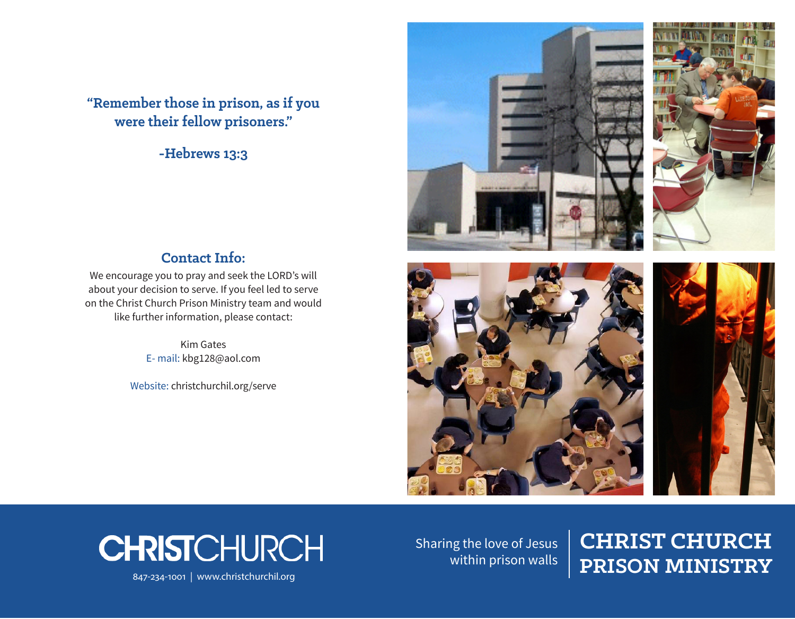**"Remember those in prison, as if you were their fellow prisoners."**

**-Hebrews 13:3**





### **Contact Info:**

We encourage you to pray and seek the LORD's will about your decision to serve. If you feel led to serve on the Christ Church Prison Ministry team and would like further information, please contact:

> Kim Gates E- mail: kbg128@aol.com

Website: christchurchil.org/serve





Sharing the love of Jesus within prison walls

# **CHRIST CHURCH CHRIST**CHURCH<br>
Sharing the love of Jesus CHRIST CHURCH<br>
Within prison walls PRISON MINISTRY<br>
PRISON MINISTRY